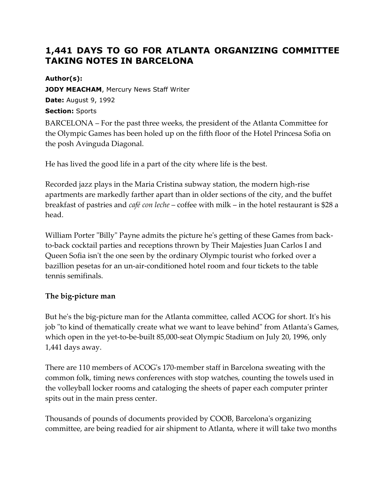# **1,441 DAYS TO GO FOR ATLANTA ORGANIZING COMMITTEE TAKING NOTES IN BARCELONA**

### **Author(s):**

**JODY MEACHAM, Mercury News Staff Writer Date:** August 9, 1992 **Section:** Sports

BARCELONA – For the past three weeks, the president of the Atlanta Committee for the Olympic Games has been holed up on the fifth floor of the Hotel Princesa Sofia on the posh Avinguda Diagonal.

He has lived the good life in a part of the city where life is the best.

Recorded jazz plays in the Maria Cristina subway station, the modern high-rise apartments are markedly farther apart than in older sections of the city, and the buffet breakfast of pastries and *café con leche* – coffee with milk – in the hotel restaurant is \$28 a head.

William Porter "Billy" Payne admits the picture he's getting of these Games from backto-back cocktail parties and receptions thrown by Their Majesties Juan Carlos I and Queen Sofia isn't the one seen by the ordinary Olympic tourist who forked over a bazillion pesetas for an un-air-conditioned hotel room and four tickets to the table tennis semifinals.

# **The big-picture man**

But he's the big-picture man for the Atlanta committee, called ACOG for short. It's his job "to kind of thematically create what we want to leave behind" from Atlanta's Games, which open in the yet-to-be-built 85,000-seat Olympic Stadium on July 20, 1996, only 1,441 days away.

There are 110 members of ACOG's 170-member staff in Barcelona sweating with the common folk, timing news conferences with stop watches, counting the towels used in the volleyball locker rooms and cataloging the sheets of paper each computer printer spits out in the main press center.

Thousands of pounds of documents provided by COOB, Barcelona's organizing committee, are being readied for air shipment to Atlanta, where it will take two months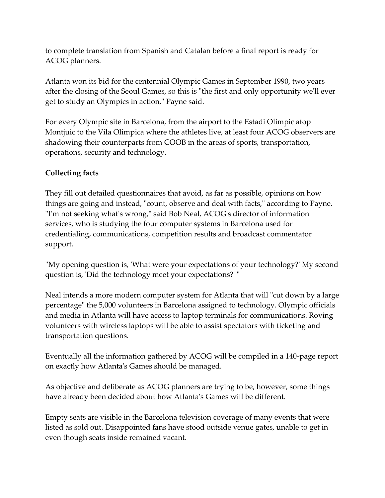to complete translation from Spanish and Catalan before a final report is ready for ACOG planners.

Atlanta won its bid for the centennial Olympic Games in September 1990, two years after the closing of the Seoul Games, so this is "the first and only opportunity we'll ever get to study an Olympics in action," Payne said.

For every Olympic site in Barcelona, from the airport to the Estadi Olimpic atop Montjuic to the Vila Olimpica where the athletes live, at least four ACOG observers are shadowing their counterparts from COOB in the areas of sports, transportation, operations, security and technology.

# **Collecting facts**

They fill out detailed questionnaires that avoid, as far as possible, opinions on how things are going and instead, "count, observe and deal with facts," according to Payne. ''I'm not seeking what's wrong," said Bob Neal, ACOG's director of information services, who is studying the four computer systems in Barcelona used for credentialing, communications, competition results and broadcast commentator support.

''My opening question is, 'What were your expectations of your technology?' My second question is, 'Did the technology meet your expectations?' "

Neal intends a more modern computer system for Atlanta that will "cut down by a large percentage" the 5,000 volunteers in Barcelona assigned to technology. Olympic officials and media in Atlanta will have access to laptop terminals for communications. Roving volunteers with wireless laptops will be able to assist spectators with ticketing and transportation questions.

Eventually all the information gathered by ACOG will be compiled in a 140-page report on exactly how Atlanta's Games should be managed.

As objective and deliberate as ACOG planners are trying to be, however, some things have already been decided about how Atlanta's Games will be different.

Empty seats are visible in the Barcelona television coverage of many events that were listed as sold out. Disappointed fans have stood outside venue gates, unable to get in even though seats inside remained vacant.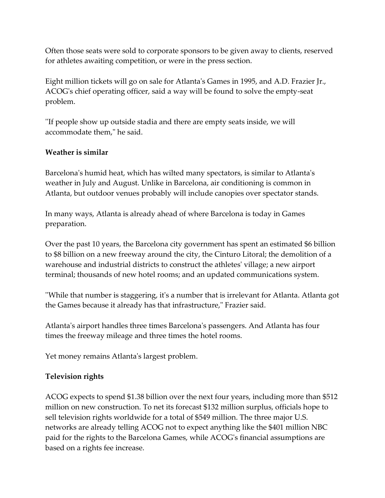Often those seats were sold to corporate sponsors to be given away to clients, reserved for athletes awaiting competition, or were in the press section.

Eight million tickets will go on sale for Atlanta's Games in 1995, and A.D. Frazier Jr., ACOG's chief operating officer, said a way will be found to solve the empty-seat problem.

''If people show up outside stadia and there are empty seats inside, we will accommodate them," he said.

#### **Weather is similar**

Barcelona's humid heat, which has wilted many spectators, is similar to Atlanta's weather in July and August. Unlike in Barcelona, air conditioning is common in Atlanta, but outdoor venues probably will include canopies over spectator stands.

In many ways, Atlanta is already ahead of where Barcelona is today in Games preparation.

Over the past 10 years, the Barcelona city government has spent an estimated \$6 billion to \$8 billion on a new freeway around the city, the Cinturo Litoral; the demolition of a warehouse and industrial districts to construct the athletes' village; a new airport terminal; thousands of new hotel rooms; and an updated communications system.

''While that number is staggering, it's a number that is irrelevant for Atlanta. Atlanta got the Games because it already has that infrastructure," Frazier said.

Atlanta's airport handles three times Barcelona's passengers. And Atlanta has four times the freeway mileage and three times the hotel rooms.

Yet money remains Atlanta's largest problem.

#### **Television rights**

ACOG expects to spend \$1.38 billion over the next four years, including more than \$512 million on new construction. To net its forecast \$132 million surplus, officials hope to sell television rights worldwide for a total of \$549 million. The three major U.S. networks are already telling ACOG not to expect anything like the \$401 million NBC paid for the rights to the Barcelona Games, while ACOG's financial assumptions are based on a rights fee increase.